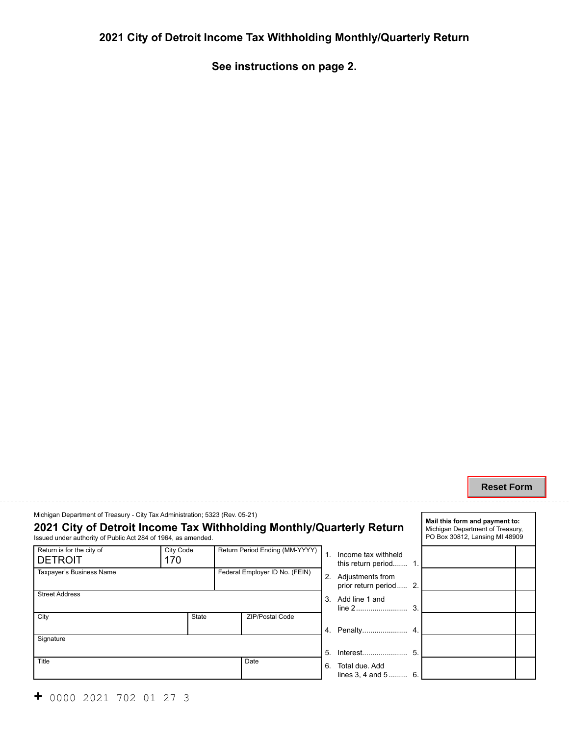## **2021 City of Detroit Income Tax Withholding Monthly/Quarterly Return**

**See instructions on page 2.** 

#### **Reset Form**

**Mail this form and payment to:** 

Michigan Department of Treasury - City Tax Administration; 5323 (Rev. 05-21)

# **2021 City of Detroit Income Tax Withholding Monthly/Quarterly Return** Issued under authority of Public Act 284 of 1964, as amended.

| Return is for the city of<br><b>DETROIT</b> | <b>City Code</b><br>170 |                                | Return Period Ending (MM-YYYY) |       | - Ir |
|---------------------------------------------|-------------------------|--------------------------------|--------------------------------|-------|------|
|                                             |                         |                                |                                |       | tł   |
| Taxpayer's Business Name                    |                         | Federal Employer ID No. (FEIN) |                                | 2. A  |      |
|                                             |                         |                                |                                |       | p    |
| <b>Street Address</b>                       |                         |                                |                                |       |      |
|                                             |                         |                                |                                | 3. A  | li   |
| City                                        | <b>State</b>            |                                | <b>ZIP/Postal Code</b>         |       |      |
|                                             |                         |                                |                                |       |      |
|                                             |                         |                                |                                | 4. F  |      |
| Signature                                   |                         |                                |                                |       |      |
|                                             |                         |                                |                                | 5. In |      |
| Title                                       |                         | Date                           |                                | 6. T  |      |
|                                             |                         |                                |                                |       |      |
|                                             |                         |                                |                                |       | li   |

|                | uarterly Return                              |    | Michigan Department of Treasury,<br>PO Box 30812, Lansing MI 48909 |  |
|----------------|----------------------------------------------|----|--------------------------------------------------------------------|--|
| $\mathbf{1}$ . | Income tax withheld<br>this return period 1. |    |                                                                    |  |
| 2.             | Adjustments from<br>prior return period 2.   |    |                                                                    |  |
| 3              | Add line 1 and                               |    |                                                                    |  |
|                |                                              |    |                                                                    |  |
| 5.             |                                              | 5. |                                                                    |  |
| 6.             | Total due. Add<br>lines 3, 4 and 5           | 6. |                                                                    |  |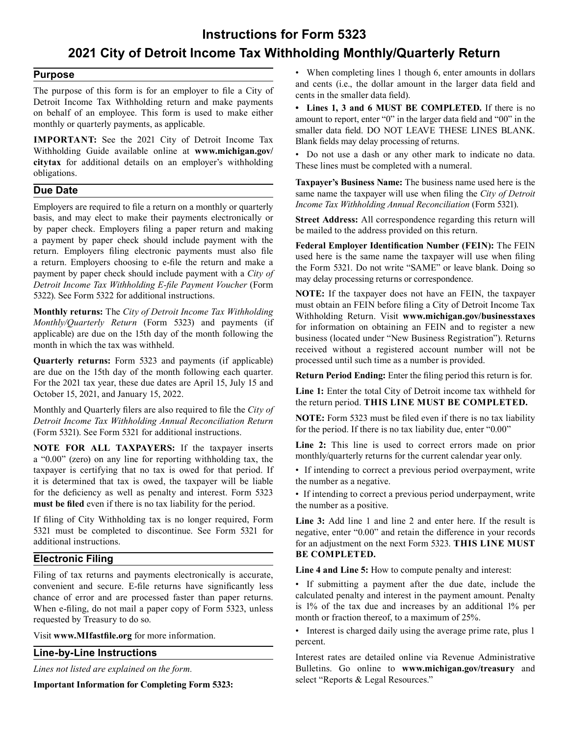## **Instructions for Form 5323 2021 City of Detroit Income Tax Withholding Monthly/Quarterly Return**

#### **Purpose**

The purpose of this form is for an employer to file a City of Detroit Income Tax Withholding return and make payments on behalf of an employee. This form is used to make either monthly or quarterly payments, as applicable.

**IMPORTANT:** See the 2021 City of Detroit Income Tax Withholding Guide available online at **<www.michigan.gov>/ citytax** for additional details on an employer's withholding obligations.

#### **Due Date**

 Employers are required to file a return on a monthly or quarterly basis, and may elect to make their payments electronically or by paper check. Employers filing a paper return and making a payment by paper check should include payment with the return. Employers filing electronic payments must also file a return. Employers choosing to e-file the return and make a payment by paper check should include payment with a *City of Detroit Income Tax Withholding E-file Payment Voucher* (Form 5322). See Form 5322 for additional instructions.

**Monthly returns:** The *City of Detroit Income Tax Withholding Monthly/Quarterly Return* (Form 5323) and payments (if applicable) are due on the 15th day of the month following the month in which the tax was withheld.

**Quarterly returns:** Form 5323 and payments (if applicable) are due on the 15th day of the month following each quarter. For the 2021 tax year, these due dates are April 15, July 15 and October 15, 2021, and January 15, 2022.

Monthly and Quarterly filers are also required to file the *City of Detroit Income Tax Withholding Annual Reconciliation Return* (Form 5321). See Form 5321 for additional instructions.

**NOTE FOR ALL TAXPAYERS:** If the taxpayer inserts a "0.00" (zero) on any line for reporting withholding tax, the taxpayer is certifying that no tax is owed for that period. If it is determined that tax is owed, the taxpayer will be liable for the deficiency as well as penalty and interest. Form 5323 **must be filed** even if there is no tax liability for the period.

If filing of City Withholding tax is no longer required, Form 5321 must be completed to discontinue. See Form 5321 for additional instructions.

#### **Electronic Filing**

Filing of tax returns and payments electronically is accurate, convenient and secure. E-file returns have significantly less chance of error and are processed faster than paper returns. When e-filing, do not mail a paper copy of Form 5323, unless requested by Treasury to do so.

Visit **<www.MIfastfile.org>** for more information.

#### **Line-by-Line Instructions**

select "Reports & Legal Resources." **Important Information for Completing Form 5323:** 

• When completing lines 1 though 6, enter amounts in dollars and cents (i.e., the dollar amount in the larger data field and cents in the smaller data field).

**• Lines 1, 3 and 6 MUST BE COMPLETED.** If there is no amount to report, enter "0" in the larger data field and "00" in the smaller data field. DO NOT LEAVE THESE LINES BLANK. Blank fields may delay processing of returns.

• Do not use a dash or any other mark to indicate no data. These lines must be completed with a numeral.

**Taxpayer's Business Name:** [The business name used here is the](www.michigan.gov/businesstaxes)  same name the taxpayer will use when filing the *City of Detroit Income Tax Withholding Annual Reconciliation* (Form 5321).

**Street Address:** All correspondence regarding this return will be mailed to the address provided on this return.

**Federal Employer Identification Number (FEIN):** The FEIN used here is the same name the taxpayer will use when filing the Form 5321. Do not write "SAME" or leave blank. Doing so may delay processing returns or correspondence.

**NOTE:** If the taxpayer does not have an FEIN, the taxpayer must obtain an FEIN before filing a City of Detroit Income Tax Withholding Return. Visit **<www.michigan.gov/businesstaxes>**  for information on obtaining an FEIN and to register a new business (located under "New Business Registration"). Returns received without a registered account number will not be processed until such time as a number is provided.

**Return Period Ending:** Enter the filing period this return is for.

**Line 1:** Enter the total City of Detroit income tax withheld for the return period. **THIS LINE MUST BE COMPLETED.**

**NOTE:** Form 5323 must be filed even if there is no tax liability for the period. If there is no tax liability due, enter "0.00"

**Line 2:** This line is used to correct errors made on prior monthly/quarterly returns for the current calendar year only.

• If intending to correct a previous period overpayment, write the number as a negative.

• If intending to correct a previous period underpayment, write the number as a positive.

**Line 3:** Add line 1 and lin[e 2 and enter here. If the res](www.michigan.gov/treasury)ult is negative, enter "0.00" and retain the difference in your records for an adjustment on the next Form 5323. **THIS LINE MUST BE COMPLETED.**

**Line 4 and Line 5:** How to compute penalty and interest:

• If submitting a payment after the due date, include the calculated penalty and interest in the payment amount. Penalty is 1% of the tax due and increases by an additional 1% per month or fraction thereof, to a maximum of 25%.

• Interest is charged daily using the average prime rate, plus 1 percent.

Interest rates are detailed online via Revenue Administrative *Lines not listed are explained on the form.* Bulletins. Go online to **<www.michigan.gov/treasury>** and